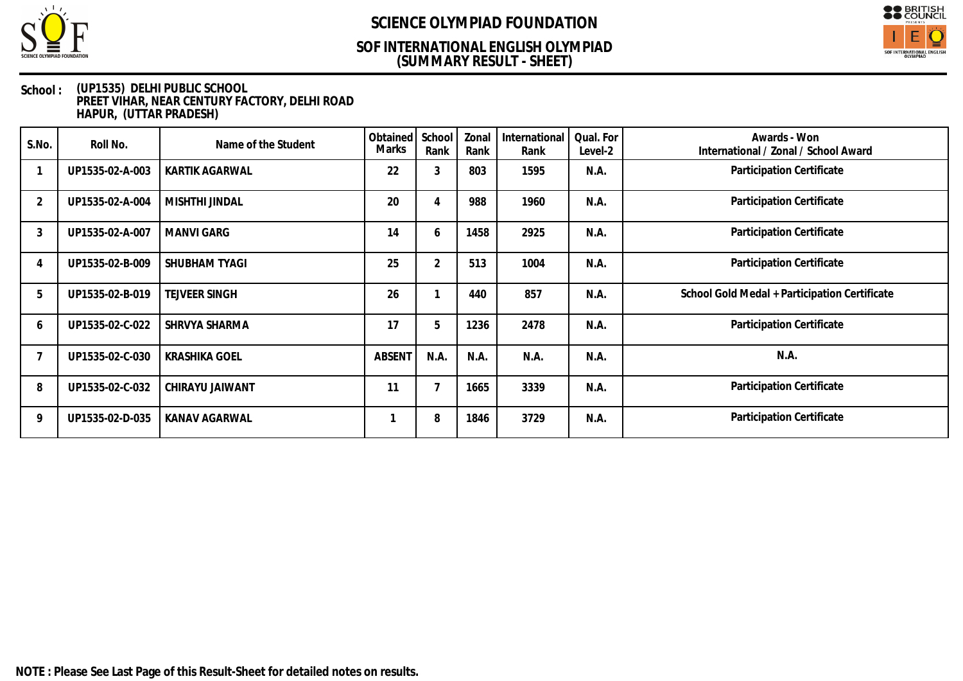

## **(SUMMARY RESULT - SHEET) SOF INTERNATIONAL ENGLISH OLYMPIAD**



| S.No.          | Roll No.        | Name of the Student  | Obtained<br>Marks | School<br>Rank | Zonal<br>Rank | International<br>Rank | Qual. For<br>Level-2 | Awards - Won<br>International / Zonal / School Award |
|----------------|-----------------|----------------------|-------------------|----------------|---------------|-----------------------|----------------------|------------------------------------------------------|
|                | UP1535-02-A-003 | KARTIK AGARWAL       | 22                | 3              | 803           | 1595                  | N.A.                 | Participation Certificate                            |
| $\overline{2}$ | UP1535-02-A-004 | MISHTHI JINDAL       | 20                | 4              | 988           | 1960                  | N.A.                 | Participation Certificate                            |
| 3              | UP1535-02-A-007 | MANVI GARG           | 14                | 6              | 1458          | 2925                  | N.A.                 | Participation Certificate                            |
|                | UP1535-02-B-009 | SHUBHAM TYAGI        | 25                | $\overline{2}$ | 513           | 1004                  | N.A.                 | Participation Certificate                            |
| 5              | UP1535-02-B-019 | <b>TEJVEER SINGH</b> | 26                |                | 440           | 857                   | N.A.                 | School Gold Medal + Participation Certificate        |
| 6              | UP1535-02-C-022 | SHRVYA SHARMA        | 17                | 5              | 1236          | 2478                  | N.A.                 | Participation Certificate                            |
|                | UP1535-02-C-030 | <b>KRASHIKA GOEL</b> | ABSENT            | N.A.           | N.A.          | N.A.                  | N.A.                 | N.A.                                                 |
| 8              | UP1535-02-C-032 | CHIRAYU JAIWANT      | 11                |                | 1665          | 3339                  | N.A.                 | Participation Certificate                            |
| 9              | UP1535-02-D-035 | KANAV AGARWAL        |                   | 8              | 1846          | 3729                  | N.A.                 | Participation Certificate                            |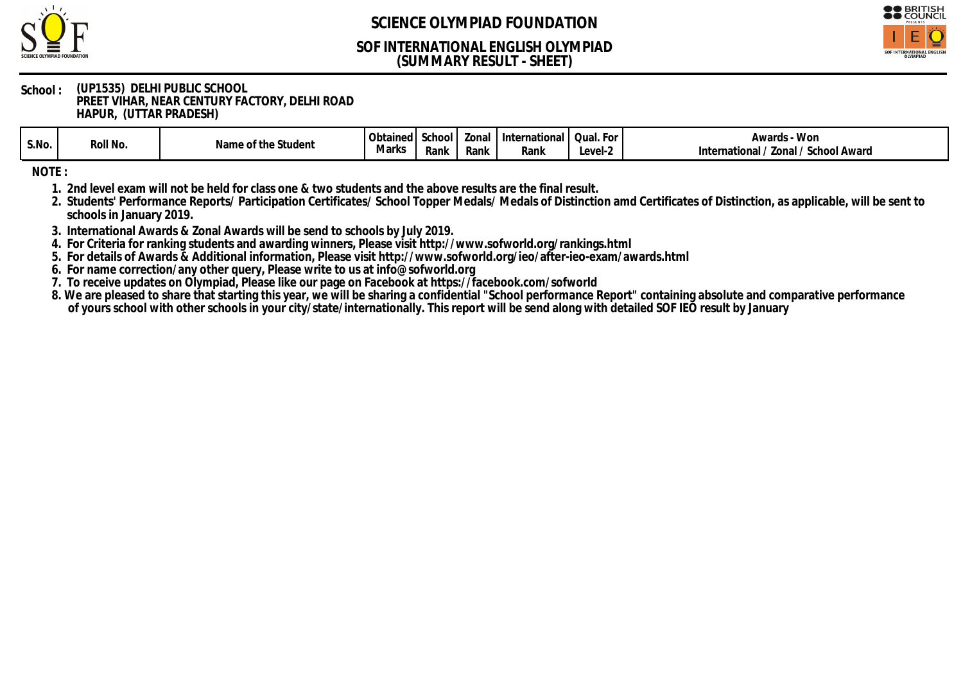

## **(SUMMARY RESULT - SHEET) SOF INTERNATIONAL ENGLISH OLYMPIAD**



#### **School : (UP1535) DELHI PUBLIC SCHOOL PREET VIHAR, NEAR CENTURY FACTORY, DELHI ROAD HAPUR, (UTTAR PRADESH)**

| S.No. | Roll No. | ∵th≀<br>Student<br>Name<br>ne ot i | า⊾∔∽<br>ഥ∆∩<br><b>ODIAII</b> IGU<br>Marks | ∵hool<br>Rank | Zona.<br>Rank | Internation<br>11 I ZI<br>Rank | . For<br>Qual.<br>Level-2 | - Won<br>Awards<br>School Award<br>Zonal<br>tionai.<br>Inter<br>natic |
|-------|----------|------------------------------------|-------------------------------------------|---------------|---------------|--------------------------------|---------------------------|-----------------------------------------------------------------------|
|-------|----------|------------------------------------|-------------------------------------------|---------------|---------------|--------------------------------|---------------------------|-----------------------------------------------------------------------|

**NOTE :**

**1. 2nd level exam will not be held for class one & two students and the above results are the final result.**

**2. Students' Performance Reports/ Participation Certificates/ School Topper Medals/ Medals of Distinction amd Certificates of Distinction, as applicable, will be sent to schools in January 2019.**

**3. International Awards & Zonal Awards will be send to schools by July 2019.**

**4. For Criteria for ranking students and awarding winners, Please visit http://www.sofworld.org/rankings.html**

**5. For details of Awards & Additional information, Please visit http://www.sofworld.org/ieo/after-ieo-exam/awards.html**

**6. For name correction/any other query, Please write to us at info@sofworld.org**

**7. To receive updates on Olympiad, Please like our page on Facebook at https://facebook.com/sofworld**

**8. We are pleased to share that starting this year, we will be sharing a confidential "School performance Report" containing absolute and comparative performance of yours school with other schools in your city/state/internationally. This report will be send along with detailed SOF IEO result by January**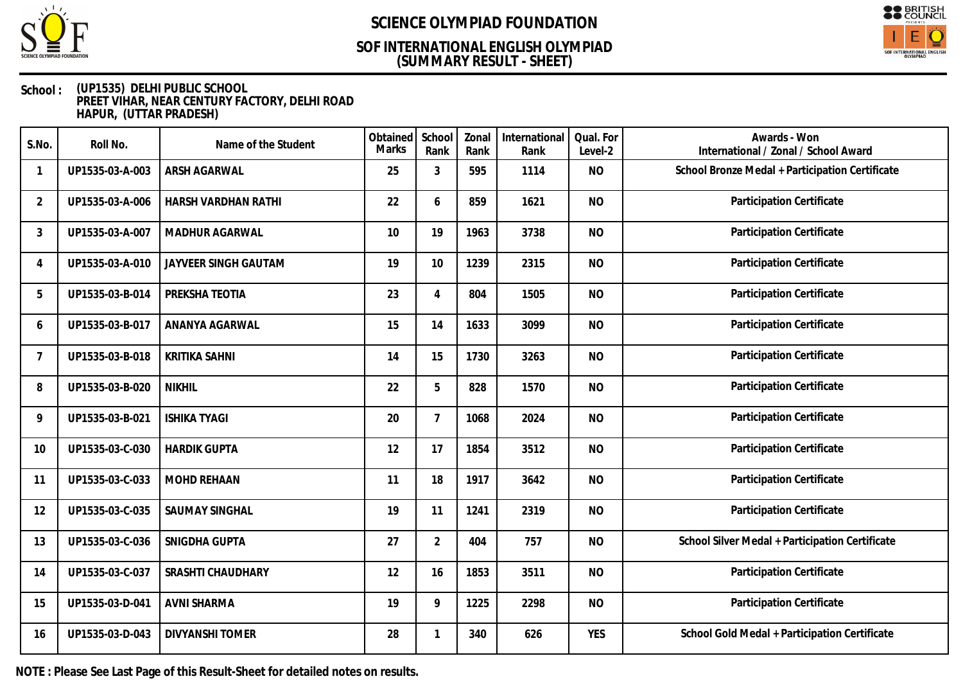

## **(SUMMARY RESULT - SHEET) SOF INTERNATIONAL ENGLISH OLYMPIAD**



#### **School : (UP1535) DELHI PUBLIC SCHOOL PREET VIHAR, NEAR CENTURY FACTORY, DELHI ROAD HAPUR, (UTTAR PRADESH)**

| S.No.                    | Roll No.        | Name of the Student    | Obtained<br><b>Marks</b> | School<br>Rank | Zonal<br>Rank | International<br>Rank | Qual. For<br>Level-2 | Awards - Won<br>International / Zonal / School Award |
|--------------------------|-----------------|------------------------|--------------------------|----------------|---------------|-----------------------|----------------------|------------------------------------------------------|
| $\overline{\phantom{a}}$ | UP1535-03-A-003 | ARSH AGARWAL           | 25                       | 3              | 595           | 1114                  | <b>NO</b>            | School Bronze Medal + Participation Certificate      |
| $\overline{2}$           | UP1535-03-A-006 | HARSH VARDHAN RATHI    | 22                       | 6              | 859           | 1621                  | <b>NO</b>            | Participation Certificate                            |
| 3                        | UP1535-03-A-007 | MADHUR AGARWAL         | 10                       | 19             | 1963          | 3738                  | <b>NO</b>            | Participation Certificate                            |
| 4                        | UP1535-03-A-010 | JAYVEER SINGH GAUTAM   | 19                       | 10             | 1239          | 2315                  | <b>NO</b>            | Participation Certificate                            |
| 5                        | UP1535-03-B-014 | PREKSHA TEOTIA         | 23                       | 4              | 804           | 1505                  | <b>NO</b>            | Participation Certificate                            |
| 6                        | UP1535-03-B-017 | ANANYA AGARWAL         | 15                       | 14             | 1633          | 3099                  | <b>NO</b>            | Participation Certificate                            |
| $\overline{7}$           | UP1535-03-B-018 | <b>KRITIKA SAHNI</b>   | 14                       | 15             | 1730          | 3263                  | <b>NO</b>            | Participation Certificate                            |
| 8                        | UP1535-03-B-020 | <b>NIKHIL</b>          | 22                       | 5              | 828           | 1570                  | <b>NO</b>            | Participation Certificate                            |
| 9                        | UP1535-03-B-021 | <b>ISHIKA TYAGI</b>    | 20                       | $\overline{7}$ | 1068          | 2024                  | <b>NO</b>            | Participation Certificate                            |
| 10                       | UP1535-03-C-030 | <b>HARDIK GUPTA</b>    | 12                       | 17             | 1854          | 3512                  | <b>NO</b>            | Participation Certificate                            |
| 11                       | UP1535-03-C-033 | <b>MOHD REHAAN</b>     | 11                       | 18             | 1917          | 3642                  | <b>NO</b>            | Participation Certificate                            |
| 12                       | UP1535-03-C-035 | SAUMAY SINGHAL         | 19                       | 11             | 1241          | 2319                  | <b>NO</b>            | Participation Certificate                            |
| 13                       | UP1535-03-C-036 | SNIGDHA GUPTA          | 27                       | $\overline{2}$ | 404           | 757                   | <b>NO</b>            | School Silver Medal + Participation Certificate      |
| 14                       | UP1535-03-C-037 | SRASHTI CHAUDHARY      | 12                       | 16             | 1853          | 3511                  | <b>NO</b>            | Participation Certificate                            |
| 15                       | UP1535-03-D-041 | <b>AVNI SHARMA</b>     | 19                       | 9              | 1225          | 2298                  | <b>NO</b>            | Participation Certificate                            |
| 16                       | UP1535-03-D-043 | <b>DIVYANSHI TOMER</b> | 28                       | 1              | 340           | 626                   | <b>YES</b>           | School Gold Medal + Participation Certificate        |

**NOTE : Please See Last Page of this Result-Sheet for detailed notes on results.**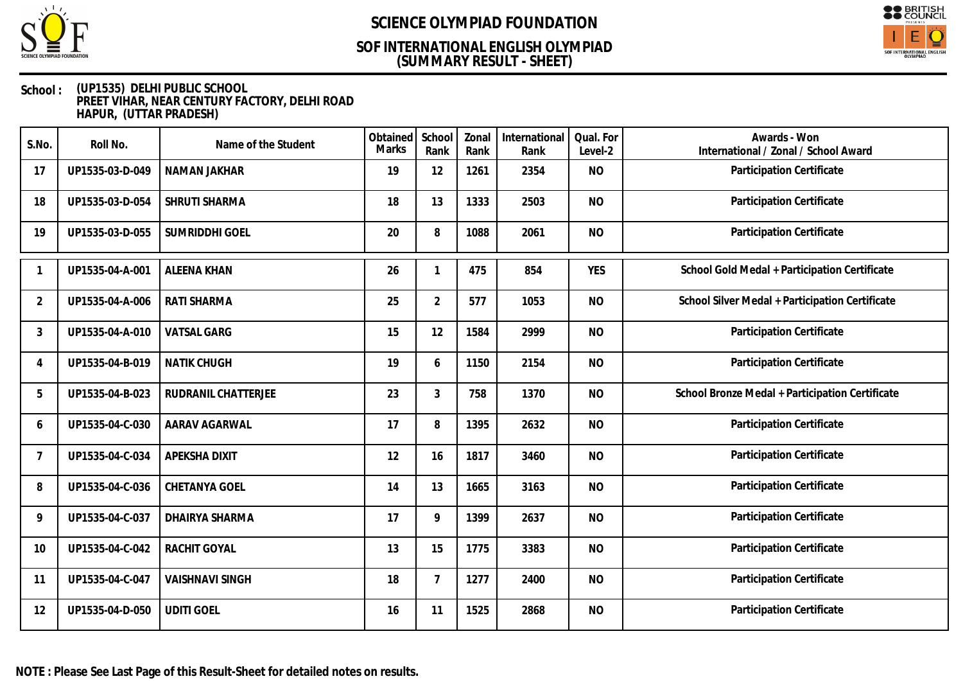

## **(SUMMARY RESULT - SHEET) SOF INTERNATIONAL ENGLISH OLYMPIAD**



| S.No.          | Roll No.        | Name of the Student    | Obtained<br>Marks | School<br>Rank | Zonal<br>Rank | International<br>Rank | Qual. For<br>Level-2 | Awards - Won<br>International / Zonal / School Award |
|----------------|-----------------|------------------------|-------------------|----------------|---------------|-----------------------|----------------------|------------------------------------------------------|
| 17             | UP1535-03-D-049 | NAMAN JAKHAR           | 19                | 12             | 1261          | 2354                  | <b>NO</b>            | Participation Certificate                            |
| 18             | UP1535-03-D-054 | SHRUTI SHARMA          | 18                | 13             | 1333          | 2503                  | <b>NO</b>            | Participation Certificate                            |
| 19             | UP1535-03-D-055 | SUMRIDDHI GOEL         | 20                | 8              | 1088          | 2061                  | <b>NO</b>            | Participation Certificate                            |
|                | UP1535-04-A-001 | <b>ALEENA KHAN</b>     | 26                | 1              | 475           | 854                   | <b>YES</b>           | School Gold Medal + Participation Certificate        |
| $\overline{2}$ | UP1535-04-A-006 | RATI SHARMA            | 25                | $\overline{2}$ | 577           | 1053                  | <b>NO</b>            | School Silver Medal + Participation Certificate      |
| 3              | UP1535-04-A-010 | <b>VATSAL GARG</b>     | 15                | 12             | 1584          | 2999                  | <b>NO</b>            | Participation Certificate                            |
| $\overline{4}$ | UP1535-04-B-019 | <b>NATIK CHUGH</b>     | 19                | 6              | 1150          | 2154                  | <b>NO</b>            | Participation Certificate                            |
| 5              | UP1535-04-B-023 | RUDRANIL CHATTERJEE    | 23                | 3              | 758           | 1370                  | <b>NO</b>            | School Bronze Medal + Participation Certificate      |
| 6              | UP1535-04-C-030 | AARAV AGARWAL          | 17                | 8              | 1395          | 2632                  | <b>NO</b>            | Participation Certificate                            |
| 7              | UP1535-04-C-034 | APEKSHA DIXIT          | 12                | 16             | 1817          | 3460                  | <b>NO</b>            | Participation Certificate                            |
| 8              | UP1535-04-C-036 | CHETANYA GOEL          | 14                | 13             | 1665          | 3163                  | <b>NO</b>            | Participation Certificate                            |
| 9              | UP1535-04-C-037 | DHAIRYA SHARMA         | 17                | 9              | 1399          | 2637                  | <b>NO</b>            | Participation Certificate                            |
| 10             | UP1535-04-C-042 | <b>RACHIT GOYAL</b>    | 13                | 15             | 1775          | 3383                  | <b>NO</b>            | Participation Certificate                            |
| 11             | UP1535-04-C-047 | <b>VAISHNAVI SINGH</b> | 18                | $\overline{7}$ | 1277          | 2400                  | <b>NO</b>            | Participation Certificate                            |
| 12             | UP1535-04-D-050 | <b>UDITI GOEL</b>      | 16                | 11             | 1525          | 2868                  | <b>NO</b>            | Participation Certificate                            |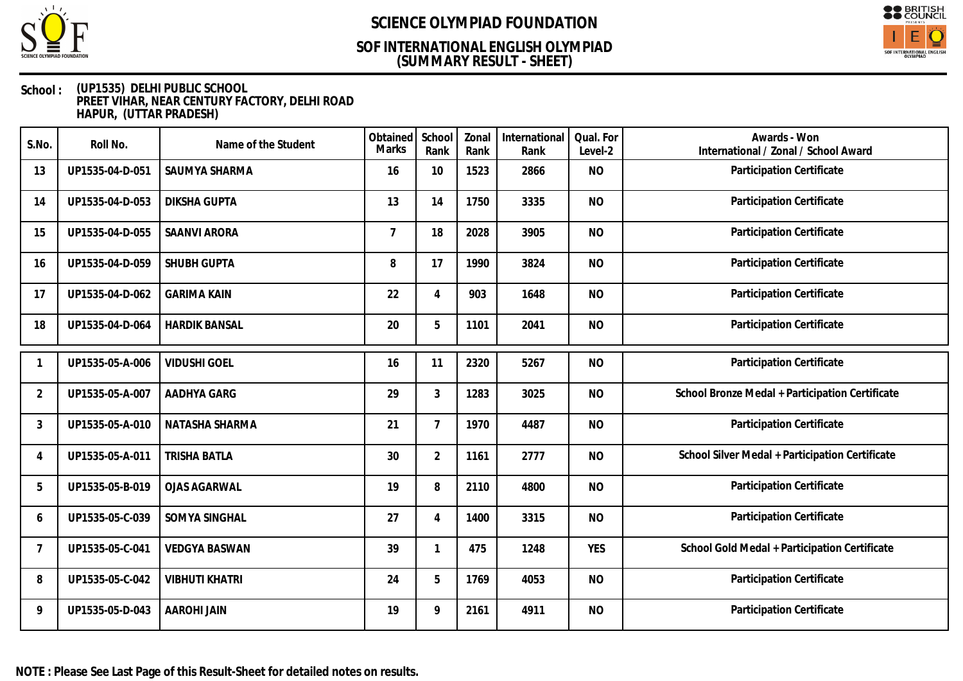

## **(SUMMARY RESULT - SHEET) SOF INTERNATIONAL ENGLISH OLYMPIAD**



| S.No.          | Roll No.        | Name of the Student   | Obtained<br>Marks | School<br>Rank | Zonal<br>Rank | International<br>Rank | Qual. For<br>Level-2 | Awards - Won<br>International / Zonal / School Award |
|----------------|-----------------|-----------------------|-------------------|----------------|---------------|-----------------------|----------------------|------------------------------------------------------|
| 13             | UP1535-04-D-051 | SAUMYA SHARMA         | 16                | 10             | 1523          | 2866                  | <b>NO</b>            | Participation Certificate                            |
| 14             | UP1535-04-D-053 | <b>DIKSHA GUPTA</b>   | 13                | 14             | 1750          | 3335                  | <b>NO</b>            | Participation Certificate                            |
| 15             | UP1535-04-D-055 | <b>SAANVI ARORA</b>   | 7                 | 18             | 2028          | 3905                  | <b>NO</b>            | Participation Certificate                            |
| 16             | UP1535-04-D-059 | SHUBH GUPTA           | 8                 | 17             | 1990          | 3824                  | <b>NO</b>            | Participation Certificate                            |
| 17             | UP1535-04-D-062 | <b>GARIMA KAIN</b>    | 22                | 4              | 903           | 1648                  | <b>NO</b>            | Participation Certificate                            |
| 18             | UP1535-04-D-064 | <b>HARDIK BANSAL</b>  | 20                | 5              | 1101          | 2041                  | <b>NO</b>            | Participation Certificate                            |
|                | UP1535-05-A-006 | <b>VIDUSHI GOEL</b>   | 16                | 11             | 2320          | 5267                  | <b>NO</b>            | Participation Certificate                            |
| $\overline{2}$ | UP1535-05-A-007 | AADHYA GARG           | 29                | 3              | 1283          | 3025                  | <b>NO</b>            | School Bronze Medal + Participation Certificate      |
| 3              | UP1535-05-A-010 | NATASHA SHARMA        | 21                | $\overline{7}$ | 1970          | 4487                  | <b>NO</b>            | Participation Certificate                            |
| $\overline{4}$ | UP1535-05-A-011 | <b>TRISHA BATLA</b>   | 30                | $\overline{2}$ | 1161          | 2777                  | <b>NO</b>            | School Silver Medal + Participation Certificate      |
| 5              | UP1535-05-B-019 | <b>OJAS AGARWAL</b>   | 19                | 8              | 2110          | 4800                  | <b>NO</b>            | Participation Certificate                            |
| 6              | UP1535-05-C-039 | SOMYA SINGHAL         | 27                | $\overline{4}$ | 1400          | 3315                  | <b>NO</b>            | Participation Certificate                            |
| $\overline{7}$ | UP1535-05-C-041 | <b>VEDGYA BASWAN</b>  | 39                | $\mathbf 1$    | 475           | 1248                  | <b>YES</b>           | School Gold Medal + Participation Certificate        |
| 8              | UP1535-05-C-042 | <b>VIBHUTI KHATRI</b> | 24                | 5              | 1769          | 4053                  | <b>NO</b>            | Participation Certificate                            |
| 9              | UP1535-05-D-043 | <b>AAROHI JAIN</b>    | 19                | 9              | 2161          | 4911                  | <b>NO</b>            | Participation Certificate                            |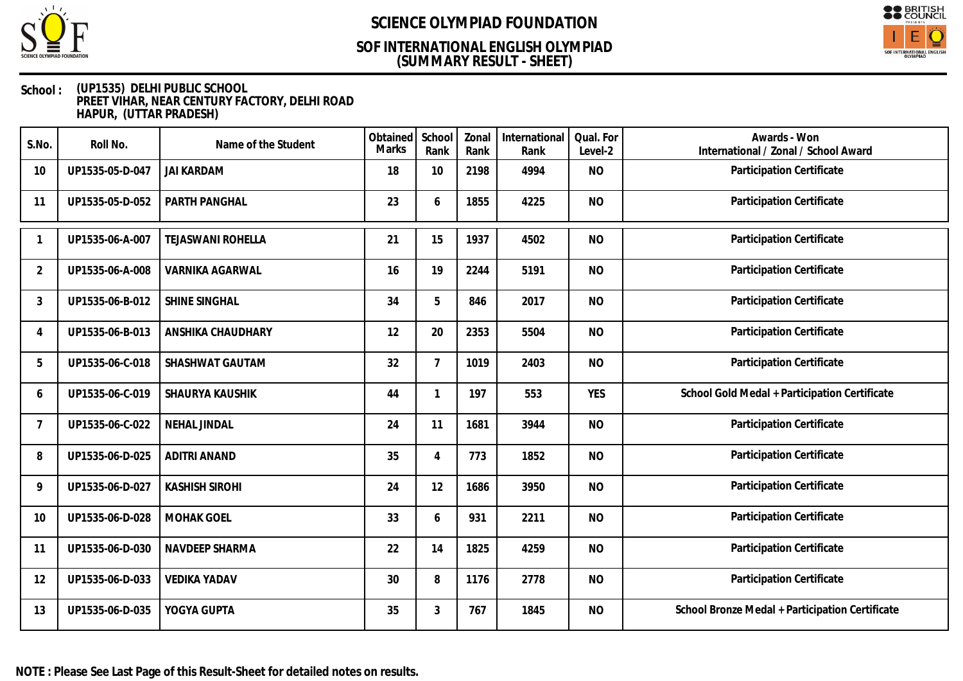

## **(SUMMARY RESULT - SHEET) SOF INTERNATIONAL ENGLISH OLYMPIAD**



| S.No.          | Roll No.        | Name of the Student      | Obtained<br>Marks | School<br>Rank | Zonal<br>Rank | International<br>Rank | Qual. For<br>Level-2 | Awards - Won<br>International / Zonal / School Award |
|----------------|-----------------|--------------------------|-------------------|----------------|---------------|-----------------------|----------------------|------------------------------------------------------|
| 10             | UP1535-05-D-047 | <b>JAI KARDAM</b>        | 18                | 10             | 2198          | 4994                  | <b>NO</b>            | Participation Certificate                            |
| 11             | UP1535-05-D-052 | PARTH PANGHAL            | 23                | 6              | 1855          | 4225                  | <b>NO</b>            | Participation Certificate                            |
|                | UP1535-06-A-007 | <b>TEJASWANI ROHELLA</b> | 21                | 15             | 1937          | 4502                  | <b>NO</b>            | Participation Certificate                            |
| 2              | UP1535-06-A-008 | <b>VARNIKA AGARWAL</b>   | 16                | 19             | 2244          | 5191                  | <b>NO</b>            | Participation Certificate                            |
| 3              | UP1535-06-B-012 | SHINE SINGHAL            | 34                | 5              | 846           | 2017                  | <b>NO</b>            | Participation Certificate                            |
| $\overline{4}$ | UP1535-06-B-013 | ANSHIKA CHAUDHARY        | 12                | 20             | 2353          | 5504                  | <b>NO</b>            | Participation Certificate                            |
| 5              | UP1535-06-C-018 | SHASHWAT GAUTAM          | 32                | $\overline{7}$ | 1019          | 2403                  | <b>NO</b>            | Participation Certificate                            |
| 6              | UP1535-06-C-019 | SHAURYA KAUSHIK          | 44                |                | 197           | 553                   | <b>YES</b>           | School Gold Medal + Participation Certificate        |
| 7              | UP1535-06-C-022 | <b>NEHAL JINDAL</b>      | 24                | 11             | 1681          | 3944                  | <b>NO</b>            | Participation Certificate                            |
| 8              | UP1535-06-D-025 | <b>ADITRI ANAND</b>      | 35                | 4              | 773           | 1852                  | <b>NO</b>            | Participation Certificate                            |
| 9              | UP1535-06-D-027 | <b>KASHISH SIROHI</b>    | 24                | 12             | 1686          | 3950                  | <b>NO</b>            | Participation Certificate                            |
| 10             | UP1535-06-D-028 | <b>MOHAK GOEL</b>        | 33                | 6              | 931           | 2211                  | <b>NO</b>            | Participation Certificate                            |
| 11             | UP1535-06-D-030 | NAVDEEP SHARMA           | 22                | 14             | 1825          | 4259                  | <b>NO</b>            | Participation Certificate                            |
| 12             | UP1535-06-D-033 | <b>VEDIKA YADAV</b>      | 30                | 8              | 1176          | 2778                  | <b>NO</b>            | Participation Certificate                            |
| 13             | UP1535-06-D-035 | YOGYA GUPTA              | 35                | 3              | 767           | 1845                  | <b>NO</b>            | School Bronze Medal + Participation Certificate      |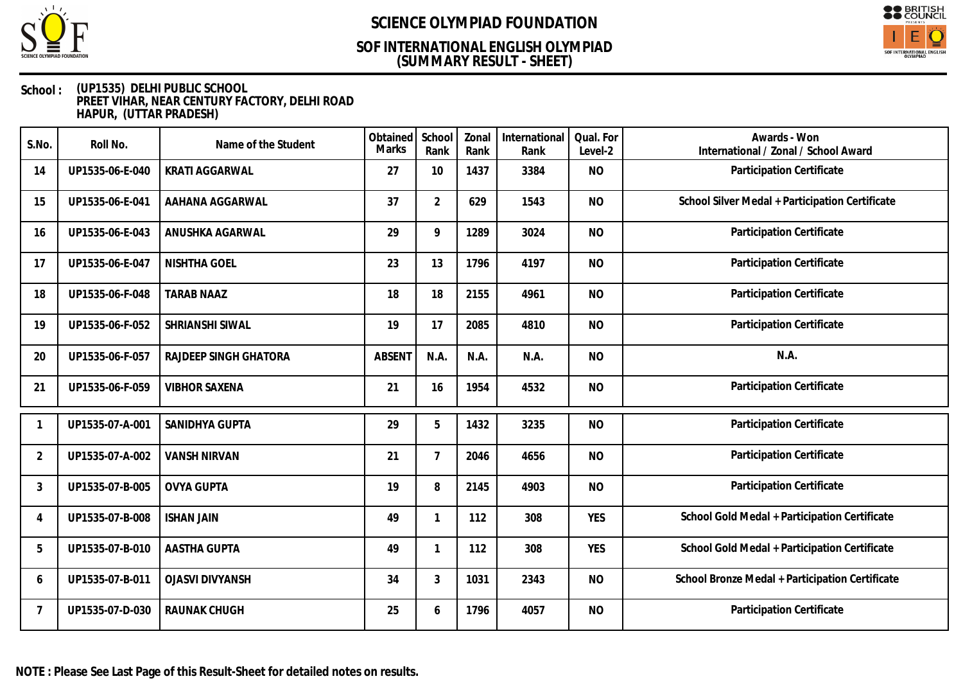

## **(SUMMARY RESULT - SHEET) SOF INTERNATIONAL ENGLISH OLYMPIAD**



| S.No.          | Roll No.        | Name of the Student    | Obtained<br><b>Marks</b> | School<br>Rank | Zonal<br>Rank | International<br>Rank | Qual. For<br>Level-2 | Awards - Won<br>International / Zonal / School Award |
|----------------|-----------------|------------------------|--------------------------|----------------|---------------|-----------------------|----------------------|------------------------------------------------------|
| 14             | UP1535-06-E-040 | <b>KRATI AGGARWAL</b>  | 27                       | 10             | 1437          | 3384                  | <b>NO</b>            | Participation Certificate                            |
| 15             | UP1535-06-E-041 | AAHANA AGGARWAL        | 37                       | $\overline{2}$ | 629           | 1543                  | <b>NO</b>            | School Silver Medal + Participation Certificate      |
| 16             | UP1535-06-E-043 | ANUSHKA AGARWAL        | 29                       | 9              | 1289          | 3024                  | <b>NO</b>            | Participation Certificate                            |
| 17             | UP1535-06-E-047 | NISHTHA GOEL           | 23                       | 13             | 1796          | 4197                  | <b>NO</b>            | Participation Certificate                            |
| 18             | UP1535-06-F-048 | <b>TARAB NAAZ</b>      | 18                       | 18             | 2155          | 4961                  | <b>NO</b>            | Participation Certificate                            |
| 19             | UP1535-06-F-052 | SHRIANSHI SIWAL        | 19                       | 17             | 2085          | 4810                  | <b>NO</b>            | Participation Certificate                            |
| 20             | UP1535-06-F-057 | RAJDEEP SINGH GHATORA  | <b>ABSENT</b>            | N.A.           | N.A.          | N.A.                  | <b>NO</b>            | N.A.                                                 |
| 21             | UP1535-06-F-059 | <b>VIBHOR SAXENA</b>   | 21                       | 16             | 1954          | 4532                  | <b>NO</b>            | Participation Certificate                            |
|                | UP1535-07-A-001 | SANIDHYA GUPTA         | 29                       | 5              | 1432          | 3235                  | <b>NO</b>            | Participation Certificate                            |
| $\overline{2}$ | UP1535-07-A-002 | <b>VANSH NIRVAN</b>    | 21                       | $\overline{7}$ | 2046          | 4656                  | <b>NO</b>            | Participation Certificate                            |
| 3              | UP1535-07-B-005 | <b>OVYA GUPTA</b>      | 19                       | 8              | 2145          | 4903                  | <b>NO</b>            | Participation Certificate                            |
| 4              | UP1535-07-B-008 | <b>ISHAN JAIN</b>      | 49                       | 1              | 112           | 308                   | <b>YES</b>           | School Gold Medal + Participation Certificate        |
| 5              | UP1535-07-B-010 | <b>AASTHA GUPTA</b>    | 49                       | 1              | 112           | 308                   | <b>YES</b>           | School Gold Medal + Participation Certificate        |
| 6              | UP1535-07-B-011 | <b>OJASVI DIVYANSH</b> | 34                       | 3              | 1031          | 2343                  | <b>NO</b>            | School Bronze Medal + Participation Certificate      |
| 7              | UP1535-07-D-030 | <b>RAUNAK CHUGH</b>    | 25                       | 6              | 1796          | 4057                  | <b>NO</b>            | Participation Certificate                            |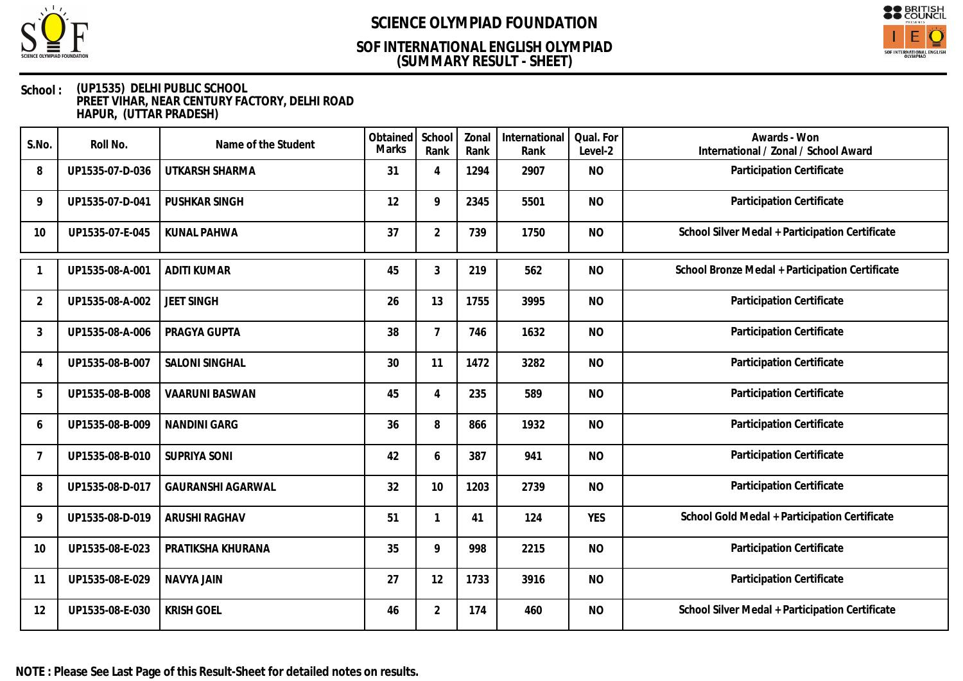

## **(SUMMARY RESULT - SHEET) SOF INTERNATIONAL ENGLISH OLYMPIAD**



| S.No.          | Roll No.        | Name of the Student      | Obtained<br>Marks | School<br>Rank | Zonal<br>Rank | International<br>Rank | Qual. For<br>Level-2 | Awards - Won<br>International / Zonal / School Award |
|----------------|-----------------|--------------------------|-------------------|----------------|---------------|-----------------------|----------------------|------------------------------------------------------|
| 8              | UP1535-07-D-036 | UTKARSH SHARMA           | 31                | 4              | 1294          | 2907                  | <b>NO</b>            | Participation Certificate                            |
| 9              | UP1535-07-D-041 | PUSHKAR SINGH            | 12                | 9              | 2345          | 5501                  | <b>NO</b>            | Participation Certificate                            |
| 10             | UP1535-07-E-045 | <b>KUNAL PAHWA</b>       | 37                | $\overline{2}$ | 739           | 1750                  | <b>NO</b>            | School Silver Medal + Participation Certificate      |
|                | UP1535-08-A-001 | <b>ADITI KUMAR</b>       | 45                | 3              | 219           | 562                   | <b>NO</b>            | School Bronze Medal + Participation Certificate      |
| $\overline{2}$ | UP1535-08-A-002 | <b>JEET SINGH</b>        | 26                | 13             | 1755          | 3995                  | <b>NO</b>            | Participation Certificate                            |
| 3              | UP1535-08-A-006 | PRAGYA GUPTA             | 38                | $\overline{7}$ | 746           | 1632                  | <b>NO</b>            | Participation Certificate                            |
| 4              | UP1535-08-B-007 | <b>SALONI SINGHAL</b>    | 30                | 11             | 1472          | 3282                  | <b>NO</b>            | Participation Certificate                            |
| 5              | UP1535-08-B-008 | <b>VAARUNI BASWAN</b>    | 45                | 4              | 235           | 589                   | <b>NO</b>            | Participation Certificate                            |
| 6              | UP1535-08-B-009 | <b>NANDINI GARG</b>      | 36                | 8              | 866           | 1932                  | <b>NO</b>            | Participation Certificate                            |
| 7              | UP1535-08-B-010 | <b>SUPRIYA SONI</b>      | 42                | 6              | 387           | 941                   | <b>NO</b>            | Participation Certificate                            |
| 8              | UP1535-08-D-017 | <b>GAURANSHI AGARWAL</b> | 32                | 10             | 1203          | 2739                  | <b>NO</b>            | Participation Certificate                            |
| 9              | UP1535-08-D-019 | <b>ARUSHI RAGHAV</b>     | 51                | $\mathbf{1}$   | 41            | 124                   | <b>YES</b>           | School Gold Medal + Participation Certificate        |
| 10             | UP1535-08-E-023 | PRATIKSHA KHURANA        | 35                | 9              | 998           | 2215                  | <b>NO</b>            | Participation Certificate                            |
| 11             | UP1535-08-E-029 | <b>NAVYA JAIN</b>        | 27                | 12             | 1733          | 3916                  | <b>NO</b>            | Participation Certificate                            |
| 12             | UP1535-08-E-030 | <b>KRISH GOEL</b>        | 46                | $\overline{2}$ | 174           | 460                   | <b>NO</b>            | School Silver Medal + Participation Certificate      |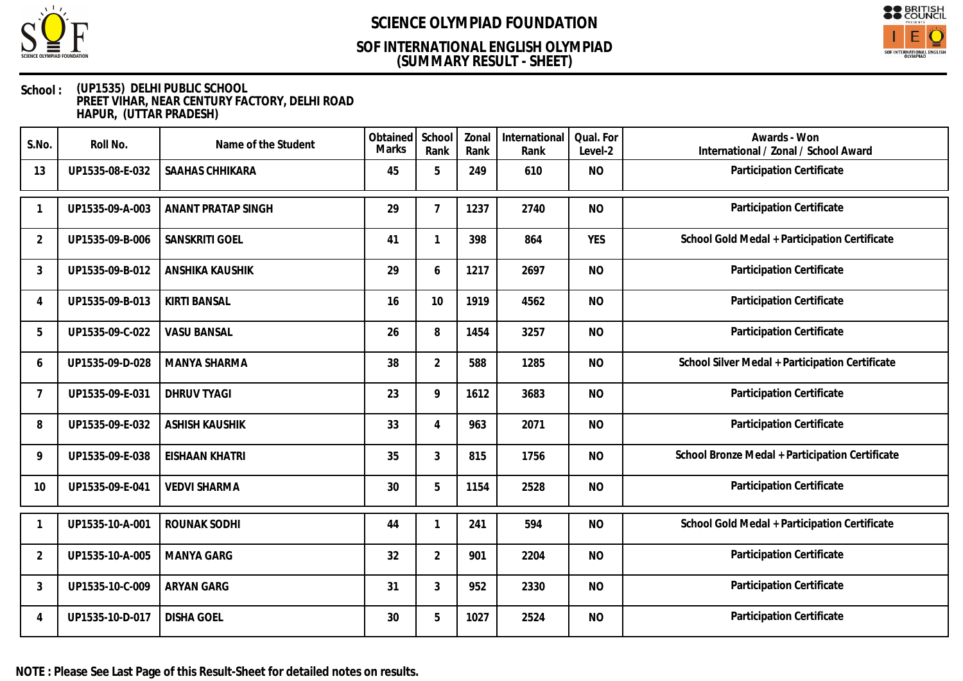

## **(SUMMARY RESULT - SHEET) SOF INTERNATIONAL ENGLISH OLYMPIAD**



#### **School : (UP1535) DELHI PUBLIC SCHOOL PREET VIHAR, NEAR CENTURY FACTORY, DELHI ROAD HAPUR, (UTTAR PRADESH)**

| S.No.          | Roll No.        | Name of the Student       | Obtained<br><b>Marks</b> | School<br>Rank | Zonal<br>Rank | International<br>Rank | Qual. For<br>Level-2 | Awards - Won<br>International / Zonal / School Award |
|----------------|-----------------|---------------------------|--------------------------|----------------|---------------|-----------------------|----------------------|------------------------------------------------------|
| 13             | UP1535-08-E-032 | SAAHAS CHHIKARA           | 45                       | 5              | 249           | 610                   | <b>NO</b>            | Participation Certificate                            |
| 1              | UP1535-09-A-003 | <b>ANANT PRATAP SINGH</b> | 29                       | 7              | 1237          | 2740                  | <b>NO</b>            | Participation Certificate                            |
| 2              | UP1535-09-B-006 | SANSKRITI GOEL            | 41                       |                | 398           | 864                   | <b>YES</b>           | School Gold Medal + Participation Certificate        |
| 3              | UP1535-09-B-012 | <b>ANSHIKA KAUSHIK</b>    | 29                       | 6              | 1217          | 2697                  | <b>NO</b>            | Participation Certificate                            |
| 4              | UP1535-09-B-013 | <b>KIRTI BANSAL</b>       | 16                       | 10             | 1919          | 4562                  | <b>NO</b>            | Participation Certificate                            |
| 5              | UP1535-09-C-022 | <b>VASU BANSAL</b>        | 26                       | 8              | 1454          | 3257                  | <b>NO</b>            | Participation Certificate                            |
| 6              | UP1535-09-D-028 | MANYA SHARMA              | 38                       | $\overline{2}$ | 588           | 1285                  | <b>NO</b>            | School Silver Medal + Participation Certificate      |
| 7              | UP1535-09-E-031 | <b>DHRUV TYAGI</b>        | 23                       | 9              | 1612          | 3683                  | <b>NO</b>            | Participation Certificate                            |
| 8              | UP1535-09-E-032 | <b>ASHISH KAUSHIK</b>     | 33                       | 4              | 963           | 2071                  | <b>NO</b>            | Participation Certificate                            |
| 9              | UP1535-09-E-038 | <b>EISHAAN KHATRI</b>     | 35                       | 3              | 815           | 1756                  | <b>NO</b>            | School Bronze Medal + Participation Certificate      |
| 10             | UP1535-09-E-041 | <b>VEDVI SHARMA</b>       | 30                       | 5              | 1154          | 2528                  | <b>NO</b>            | Participation Certificate                            |
|                | UP1535-10-A-001 | ROUNAK SODHI              | 44                       |                | 241           | 594                   | <b>NO</b>            | School Gold Medal + Participation Certificate        |
| $\overline{2}$ | UP1535-10-A-005 | <b>MANYA GARG</b>         | 32                       | $\overline{2}$ | 901           | 2204                  | <b>NO</b>            | Participation Certificate                            |
| 3              | UP1535-10-C-009 | ARYAN GARG                | 31                       | 3              | 952           | 2330                  | <b>NO</b>            | Participation Certificate                            |
| 4              | UP1535-10-D-017 | <b>DISHA GOEL</b>         | 30                       | 5              | 1027          | 2524                  | <b>NO</b>            | Participation Certificate                            |

**NOTE : Please See Last Page of this Result-Sheet for detailed notes on results.**